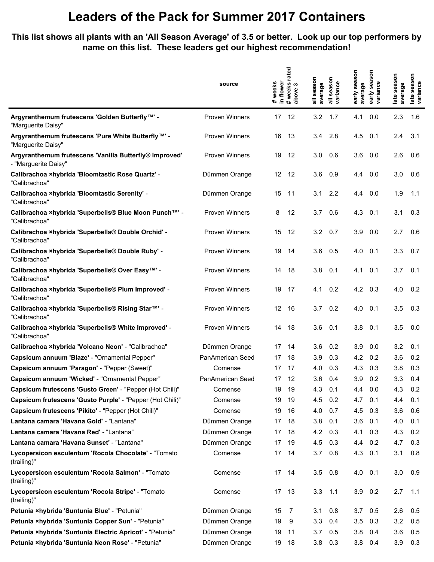## **Leaders of the Pack for Summer 2017 Containers**

**This list shows all plants with an 'All Season Average' of 3.5 or better. Look up our top performers by name on this list. These leaders get our highest recommendation!**

|                                                                                | source                | in flower<br>weeks<br>$\ddot{\phantom{1}}$ | rated<br># weeks i<br>above 3 | all season<br>average | season<br>variance<br>$\equiv$ | early season<br>average | son<br>sea<br>variance<br>early | late season<br>average | late season<br>variance |
|--------------------------------------------------------------------------------|-----------------------|--------------------------------------------|-------------------------------|-----------------------|--------------------------------|-------------------------|---------------------------------|------------------------|-------------------------|
| Argyranthemum frutescens 'Golden Butterfly™' -<br>"Marguerite Daisy"           | <b>Proven Winners</b> | 17                                         | 12                            | 3.2                   | 1.7                            | 4.1                     | 0.0                             | 2.3                    | 1.6                     |
| Argyranthemum frutescens 'Pure White Butterfly™' -<br>"Marguerite Daisy"       | <b>Proven Winners</b> | 16                                         | 13                            | 3.4                   | 2.8                            | 4.5                     | 0.1                             | 2.4                    | 3.1                     |
| Argyranthemum frutescens 'Vanilla Butterfly® Improved'<br>- "Marguerite Daisy" | <b>Proven Winners</b> | 19                                         | 12                            | 3.0                   | 0.6                            | 3.6                     | 0.0                             | 2.6                    | 0.6                     |
| Calibrachoa ×hybrida 'Bloomtastic Rose Quartz' -<br>"Calibrachoa"              | Dümmen Orange         | 12 <sup>12</sup>                           | 12                            | 3.6                   | 0.9                            | 4.4                     | 0.0                             | 3.0                    | 0.6                     |
| Calibrachoa ×hybrida 'Bloomtastic Serenity' -<br>"Calibrachoa"                 | Dümmen Orange         | 15                                         | 11                            | 3.1                   | 2.2                            | 4.4                     | 0.0                             | 1.9                    | 1.1                     |
| Calibrachoa ×hybrida 'Superbells® Blue Moon Punch™' -<br>"Calibrachoa"         | <b>Proven Winners</b> | 8                                          | 12                            | 3.7                   | 0.6                            | 4.3                     | 0.1                             | 3.1                    | 0.3                     |
| Calibrachoa ×hybrida 'Superbells® Double Orchid' -<br>"Calibrachoa"            | Proven Winners        | 15                                         | 12                            | 3.2                   | 0.7                            | 3.9                     | 0.0                             | 2.7                    | 0.6                     |
| Calibrachoa ×hybrida 'Superbells® Double Ruby' -<br>"Calibrachoa"              | <b>Proven Winners</b> | 19                                         | 14                            | 3.6                   | 0.5                            | 4.0                     | 0.1                             | 3.3                    | 0.7                     |
| Calibrachoa ×hybrida 'Superbells® Over Easy™' -<br>"Calibrachoa"               | <b>Proven Winners</b> | 14                                         | 18                            | 3.8                   | 0.1                            | 4.1                     | 0.1                             | 3.7                    | 0.1                     |
| Calibrachoa ×hybrida 'Superbells® Plum Improved' -<br>"Calibrachoa"            | <b>Proven Winners</b> | 19                                         | 17                            | 4.1                   | 0.2                            | 4.2                     | 0.3                             | 4.0                    | 0.2                     |
| Calibrachoa ×hybrida 'Superbells® Rising Star™' -<br>"Calibrachoa"             | <b>Proven Winners</b> | 12 <sup>°</sup>                            | 16                            | 3.7                   | 0.2                            | 4.0                     | 0.1                             | 3.5                    | 0.3                     |
| Calibrachoa ×hybrida 'Superbells® White Improved' -<br>"Calibrachoa"           | <b>Proven Winners</b> | 14                                         | 18                            | 3.6                   | 0.1                            | 3.8                     | 0.1                             | 3.5                    | 0.0                     |
| Calibrachoa xhybrida 'Volcano Neon' - "Calibrachoa"                            | Dümmen Orange         | 17                                         | 14                            | 3.6                   | 0.2                            | 3.9                     | 0.0                             | 3.2                    | 0.1                     |
| Capsicum annuum 'Blaze' - "Ornamental Pepper"                                  | PanAmerican Seed      | 17                                         | 18                            | 3.9                   | 0.3                            | 4.2                     | 0.2                             | 3.6                    | 0.2                     |
| Capsicum annuum 'Paragon' - "Pepper (Sweet)"                                   | Comense               | 17                                         | 17                            | 4.0                   | 0.3                            | 4.3                     | 0.3                             | 3.8                    | 0.3                     |
| Capsicum annuum 'Wicked' - "Ornamental Pepper"                                 | PanAmerican Seed      | 17                                         | 12                            | 3.6                   | 0.4                            | 3.9                     | 0.2                             | 3.3                    | 0.4                     |
| Capsicum frutescens 'Gusto Green' - "Pepper (Hot Chili)"                       | Comense               | 19                                         | 19                            | 4.3                   | 0.1                            | 4.4                     | 0.0                             | 4.3                    | 0.2                     |
| Capsicum frutescens 'Gusto Purple' - "Pepper (Hot Chili)"                      | Comense               | 19                                         | 19                            | 4.5                   | 0.2                            | 4.7                     | 0.1                             | 4.4                    | 0.1                     |
| Capsicum frutescens 'Pikito' - "Pepper (Hot Chili)"                            | Comense               | 19                                         | 16                            | 4.0                   | 0.7                            | 4.5                     | 0.3                             | 3.6                    | 0.6                     |
| Lantana camara 'Havana Gold' - "Lantana"                                       | Dümmen Orange         | 17                                         | 18                            | 3.8                   | 0.1                            | 3.6                     | 0.1                             | 4.0                    | 0.1                     |
| Lantana camara 'Havana Red' - "Lantana"                                        | Dümmen Orange         | 17                                         | 18                            | 4.2                   | 0.3                            | 4.1                     | 0.3                             | 4.3                    | 0.2                     |
| Lantana camara 'Havana Sunset' - "Lantana"                                     | Dümmen Orange         | 17                                         | 19                            | 4.5                   | 0.3                            | 4.4                     | 0.2                             | 4.7                    | 0.3                     |
| Lycopersicon esculentum 'Rocola Chocolate' - "Tomato<br>(trailing)"            | Comense               | 17                                         | 14                            | 3.7                   | 0.8                            | 4.3                     | 0.1                             | 3.1                    | 0.8                     |
| Lycopersicon esculentum 'Rocola Salmon' - "Tomato<br>(trailing)"               | Comense               | 17 <sup>2</sup>                            | 14                            | 3.5                   | 0.8                            | $4.0$ 0.1               |                                 | 3.0                    | 0.9                     |
| Lycopersicon esculentum 'Rocola Stripe' - "Tomato<br>(trailing)"               | Comense               | 17                                         | 13                            | 3.3                   | 1.1                            | 3.9                     | 0.2                             | 2.7                    | 1.1                     |
| Petunia ×hybrida 'Suntunia Blue' - "Petunia"                                   | Dümmen Orange         | 15                                         | $\overline{7}$                | 3.1                   | 0.8                            | 3.7                     | 0.5                             | 2.6                    | 0.5                     |
| Petunia ×hybrida 'Suntunia Copper Sun' - "Petunia"                             | Dümmen Orange         | 19                                         | 9                             | 3.3                   | 0.4                            | 3.5                     | 0.3                             | 3.2                    | 0.5                     |
| Petunia ×hybrida 'Suntunia Electric Apricot' - "Petunia"                       | Dümmen Orange         | 19                                         | 11                            | 3.7                   | 0.5                            | 3.8                     | 0.4                             | 3.6                    | 0.5                     |
| Petunia ×hybrida 'Suntunia Neon Rose' - "Petunia"                              | Dümmen Orange         | 19                                         | 18                            | 3.8                   | 0.3                            | 3.8                     | 0.4                             | 3.9                    | 0.3                     |